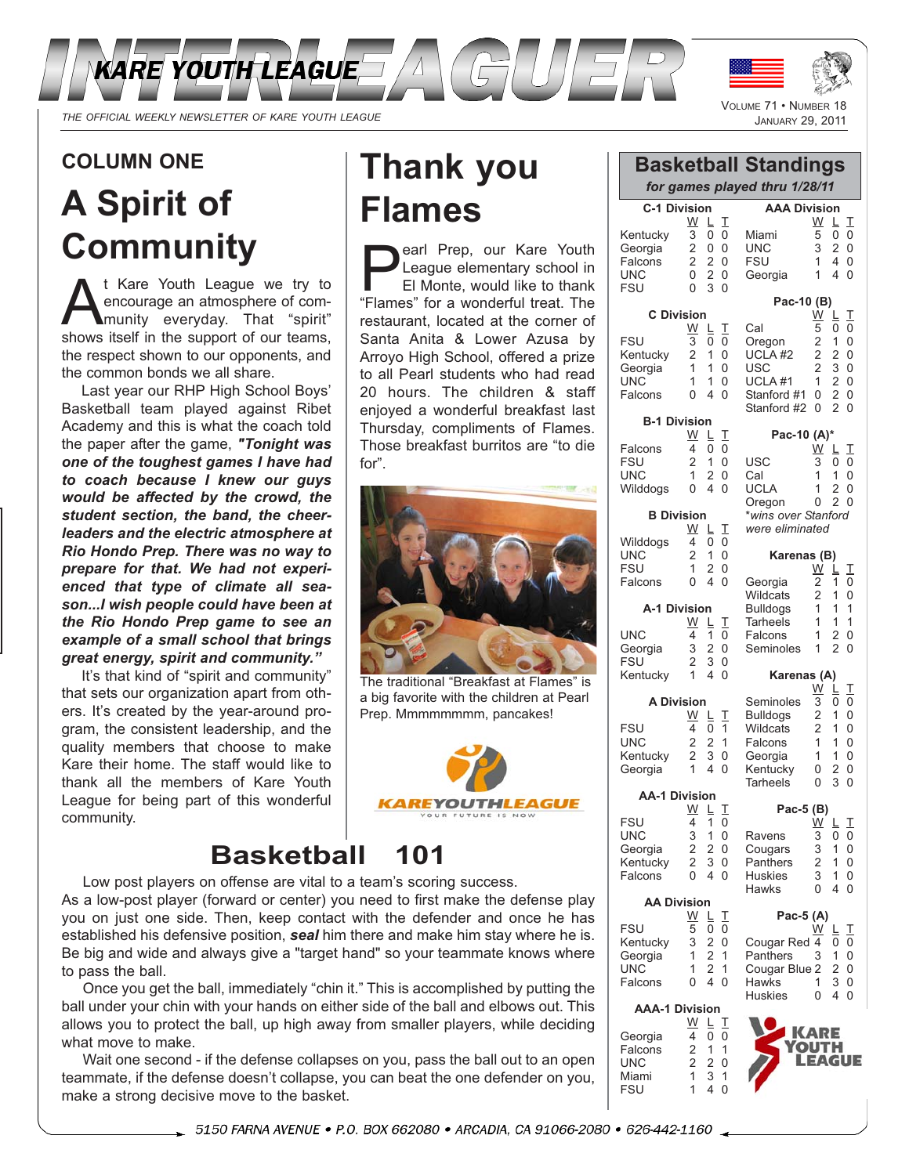

## **COLUMN ONE**

# **A Spirit of Community**

t Kare Youth League we try to encourage an atmosphere of community everyday. That "spirit" shows itself in the support of our teams, the respect shown to our opponents, and the common bonds we all share.

Last year our RHP High School Boys' Basketball team played against Ribet Academy and this is what the coach told the paper after the game, *"Tonight was one of the toughest games I have had to coach because I knew our guys would be affected by the crowd, the student section, the band, the cheerleaders and the electric atmosphere at Rio Hondo Prep. There was no way to prepare for that. We had not experienced that type of climate all season...I wish people could have been at the Rio Hondo Prep game to see an example of a small school that brings great energy, spirit and community."*

It's that kind of "spirit and community" that sets our organization apart from others. It's created by the year-around program, the consistent leadership, and the quality members that choose to make Kare their home. The staff would like to thank all the members of Kare Youth League for being part of this wonderful community.

# **Thank you Flames**

**Pearl Prep, our Kare Youth<br>
League elementary school in<br>
El Monte, would like to thank<br>
"Elames" for a wonderful treat. The** League elementary school in El Monte, would like to thank "Flames" for a wonderful treat. The restaurant, located at the corner of Santa Anita & Lower Azusa by Arroyo High School, offered a prize to all Pearl students who had read 20 hours. The children & staff enjoyed a wonderful breakfast last Thursday, compliments of Flames. Those breakfast burritos are "to die for".



The traditional "Breakfast at Flames" is a big favorite with the children at Pearl Prep. Mmmmmmmm, pancakes!



## **Basketball 101**

Low post players on offense are vital to a team's scoring success.

As a low-post player (forward or center) you need to first make the defense play you on just one side. Then, keep contact with the defender and once he has established his defensive position, *seal* him there and make him stay where he is. Be big and wide and always give a "target hand" so your teammate knows where to pass the ball.

Once you get the ball, immediately "chin it." This is accomplished by putting the ball under your chin with your hands on either side of the ball and elbows out. This allows you to protect the ball, up high away from smaller players, while deciding what move to make.

Wait one second - if the defense collapses on you, pass the ball out to an open teammate, if the defense doesn't collapse, you can beat the one defender on you, make a strong decisive move to the basket.

VOLUME 71 • NUMBER 18<br>JANUARY 29, 2011 **C-1 Division**  $\frac{W}{3} \begin{array}{ccc} \underline{L} & \underline{T} \\ \underline{0} & 0 \end{array}$ Kentucky  $\overline{3}$   $\overline{0}$   $\overline{0}$ <br>Georgia 2 0 0 Georgia 2 0 0<br>Falcons 2 2 0 Falcons 2 2 0 FSU 0 3 0 **C Division**  $W \perp T$ FSU  $\overline{3}$   $\overline{0}$   $\overline{0}$ Kentucky 2 1 0<br>Georgia 1 1 0  $\begin{array}{cc} 1 & 1 & 0 \\ 0 & 4 & 0 \end{array}$ **B-1 Division**  $\frac{W}{4}$   $\frac{L}{0}$   $\frac{T}{0}$  $\begin{array}{c} 1 & 0 \\ 2 & 0 \end{array}$ UNC 1 2 0<br>Wilddogs 0 4 0 **B Division**  $\frac{W}{4}$   $\frac{L}{0}$   $\frac{T}{0}$  $\begin{array}{cc} 2 & 1 & 0 \\ 1 & 2 & 0 \end{array}$ FSU 1 2 0<br>Falcons 0 4 0 **AAA Division**  $\frac{W}{5}$   $\frac{L}{0}$   $\frac{T}{0}$ Miami<br>UNC UNC 3 2 0<br>FSU 1 4 0 FSU 1 4 0  $1 \t4 \t0$ **Pac-10 (B)** <u>W L T</u> Cal 5 0 0 Oregon 2 1 0 UCLA #2 2 2 0<br>USC 2 3 0 USC 2 3 0<br>UCLA #1 1 2 0 UCLA #1 1 2 0<br>Stanford #1 0 2 0 Stanford #1 0 2 0<br>Stanford #2 0 2 0 Stanford  $#2 \ 0$ **Pac-10 (A)\***  $\frac{W}{3}$   $\frac{L}{0}$   $\frac{T}{0}$ USC 3 0 0 Cal 1 1 0<br>UCLA 1 2 0 UCLA 1 2 0<br>Oregon 0 2 0 Oregon *\*wins over Stanford were eliminated* **Karenas (B)**  $\frac{\text{W}}{2}$   $\frac{\text{L}}{1}$   $\frac{\text{T}}{0}$ Georgia 2 1 0<br>Wildcats 2 1 0 Wildcats Bulldogs 1 1 1 **Basketball Standings** *for games played thru 1/28/11*

> Tarheels 1 1 1<br>Falcons 1 2 0 Falcons 1 2<br>Seminoles 1 2 Seminoles 1 2 0 **Karenas (A)**

Seminoles  $\overline{3}$   $\overline{0}$   $\overline{0}$ <br>Bulldogs 2 1 0 Bulldogs 2 1 0<br>Wildcats 2 1 0

Falcons 1 1 0<br>Georgia 1 1 0 Georgia 1 1 0<br>Kentucky 0 2 0 Kentucky 0 2 0<br>Tarheels 0 3 0

**Pac-5 (B)**

Ravens 3 0 0<br>Cougars 3 1 0 Cougars 3 1 0<br>Panthers 2 1 0

Huskies 3 1 0<br>Hawks 0 4 0

**Pac-5 (A)**

**Wildcats** 

**Tarheels** 

**Panthers** 

**Hawks** 

 $\frac{W}{3}$   $\frac{L}{0}$   $\frac{T}{0}$ 

 $\frac{\overline{W}}{3}$   $\frac{\overline{L}}{0}$   $\frac{\overline{T}}{0}$ 

 $W$   $L$   $T$ 

| A-1 Division |   |                |          |
|--------------|---|----------------|----------|
|              | W | LТ             |          |
| UNC          | 4 | $\overline{1}$ | $\Omega$ |
| Georgia      | 3 | 2 0            |          |
| FSU          | 2 | 3              | 0        |
| Kentucky     | 1 | 4 0            |          |
|              |   |                |          |

UNC

Georgia

**Falcons** 

Falcons 4<br>FSU 2

Wilddogs

Wilddogs<br>UNC

**Falcons** 

| <b>A Division</b> |   |                             |
|-------------------|---|-----------------------------|
| W                 |   | Л.                          |
| 4                 | 0 | 1                           |
| 2                 | 2 | 1                           |
| 2                 |   |                             |
| 1                 |   |                             |
|                   |   | L.<br>3 <sub>0</sub><br>4 0 |

**AA-1 Division**

| ווטופוזוש ו־הח |   |    |              |
|----------------|---|----|--------------|
|                | W | L. | $\mathbf{I}$ |
| <b>FSU</b>     | 4 | 1  | 0            |
| <b>UNC</b>     | 3 | 1  | 0            |
| Georgia        | 2 | 2  | 0            |
| Kentucky       | 2 | 3  | 0            |
| Falcons        | 0 | 4  | 0            |

| <b>AA Division</b> |   |    |    |
|--------------------|---|----|----|
|                    | W | L. | -1 |
| <b>FSU</b>         | 5 | U  | U  |
| Kentucky           | 3 | 2  | N  |
| Georgia            | 1 | 2  |    |
| UNC                |   | 2  |    |

Falcons 0 4 0 **AAA-1 Division**

Georgia 4 0 0

**FSU** 

<u>W L T</u>

| Cougar Red 4  |     | 0 | 0        |
|---------------|-----|---|----------|
| Panthers      | 3   | 1 | 0        |
| Cougar Blue 2 |     | 2 | 0        |
| <b>Hawks</b>  | 1   | 3 | 0        |
| Huskies       | N   | 4 | $\Omega$ |
|               | ARE |   |          |